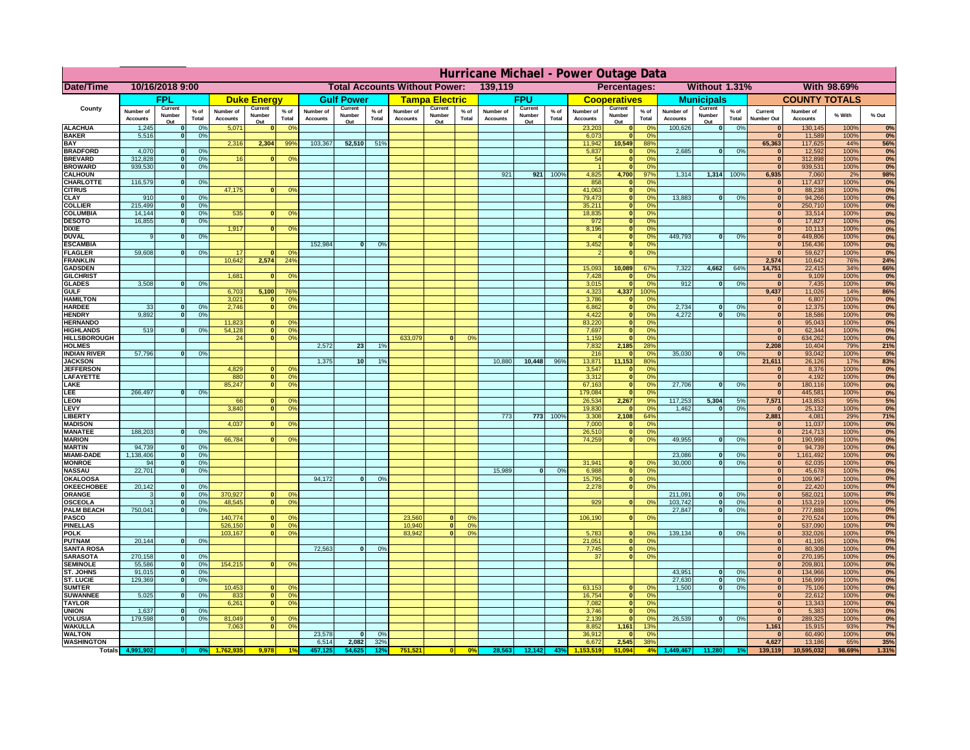|                                       | Hurricane Michael - Power Outage Data |                          |                                  |                              |                   |                                                          |                              |                       |                 |                              |                                                     |                     |                       |                   |                 |                              |                              |                       |                              |                             |                 |                               |                              |              |           |
|---------------------------------------|---------------------------------------|--------------------------|----------------------------------|------------------------------|-------------------|----------------------------------------------------------|------------------------------|-----------------------|-----------------|------------------------------|-----------------------------------------------------|---------------------|-----------------------|-------------------|-----------------|------------------------------|------------------------------|-----------------------|------------------------------|-----------------------------|-----------------|-------------------------------|------------------------------|--------------|-----------|
| <b>Date/Time</b>                      | 10/16/2018 9:00                       |                          |                                  |                              |                   | <b>Total Accounts Without Power:</b><br>139,119          |                              |                       |                 |                              | <b>Without 1.31%</b><br>With 98.69%<br>Percentages: |                     |                       |                   |                 |                              |                              |                       |                              |                             |                 |                               |                              |              |           |
|                                       | <b>FPL</b>                            |                          | <b>Duke Energy</b>               |                              | <b>Gulf Power</b> |                                                          |                              | <b>Tampa Electric</b> |                 | <b>FPU</b>                   |                                                     | <b>Cooperatives</b> |                       | <b>Municipals</b> |                 |                              | <b>COUNTY TOTALS</b>         |                       |                              |                             |                 |                               |                              |              |           |
| County                                | Number of<br><b>Accounts</b>          | Current<br>Number        | % of<br>Total                    | Number of<br><b>Accounts</b> | Current<br>Number | $%$ of<br>Total                                          | Number of<br><b>Accounts</b> | Current<br>Number     | $%$ of<br>Total | Number of<br><b>Accounts</b> | Current<br>Number                                   | $%$ of<br>Total     | Number of<br>Accounts | Current<br>Number | $%$ of<br>Total | Number of<br><b>Accounts</b> | Current<br>Number            | $%$ of<br>Total       | Number of<br><b>Accounts</b> | Current<br>Number           | $%$ of<br>Total | Current<br><b>Number Out</b>  | Number of<br><b>Accounts</b> | % With       | % Out     |
| <b>ALACHUA</b>                        | 1,245                                 | Out                      | 0 <sup>9</sup>                   | 5,071                        | Out<br>$\bf{0}$   | 0 <sup>9</sup>                                           |                              | Out                   |                 |                              | Out                                                 |                     |                       | Out               |                 | 23,203                       | Out<br>$\mathbf{0}$          | 0 <sup>9</sup>        | 100,626                      | Out<br> 0                   | 0%              | $\bf{0}$                      | 130,145                      | 100%         | 0%        |
| <b>BAKER</b>                          | 5,516                                 |                          | 0%                               |                              |                   |                                                          |                              |                       |                 |                              |                                                     |                     |                       |                   |                 | 6,073                        | ō                            | 0%                    |                              |                             |                 | $\mathbf{0}$                  | 11,589                       | 100%         | 0%        |
| <b>BAY</b><br><b>BRADFORD</b>         | 4,070                                 |                          | 0 <sup>9</sup>                   | 2,316                        | 2,304             | 99%                                                      | 103,367                      | 52,510                | 51%             |                              |                                                     |                     |                       |                   |                 | 11,942<br>5,837              | 10,549<br>$\mathbf{0}$       | 88%<br>0%             | 2,685                        | 0                           | 0%              | 65,363<br>$\bf{0}$            | 117,625<br>12,592            | 44%<br>100%  | 56%<br>0% |
| <b>BREVARD</b>                        | 312,828                               |                          | 0 <sup>9</sup>                   | 16                           | $\mathbf{0}$      | 0%                                                       |                              |                       |                 |                              |                                                     |                     |                       |                   |                 | 54                           | $\mathbf{0}$                 | 0%                    |                              |                             |                 | $\mathbf{0}$                  | 312,898                      | 100%         | 0%        |
| <b>BROWARD</b>                        | 939.530                               |                          | 0 <sup>9</sup>                   |                              |                   |                                                          |                              |                       |                 |                              |                                                     |                     |                       |                   |                 |                              | $\mathbf{0}$                 | 0%                    |                              |                             |                 | $\bf{0}$                      | 939,531                      | 100%         | 0%        |
| <b>CALHOUN</b><br>CHARLOTTE           | 116,579                               |                          | 0%                               |                              |                   |                                                          |                              |                       |                 |                              |                                                     |                     | 921                   | 921               | 100%            | 4,825<br>858                 | 4,700<br>$\mathbf 0$         | 97%<br>0%             | 1,314                        | 1,314 100%                  |                 | 6,935<br>$\bf{0}$             | 7,060<br>117,437             | 2%<br>100%   | 98%<br>0% |
| <b>CITRUS</b>                         |                                       |                          |                                  | 47,175                       | $\mathbf{0}$      | 0 <sup>9</sup>                                           |                              |                       |                 |                              |                                                     |                     |                       |                   |                 | 41,063                       | $\mathbf{0}$                 | 0 <sup>9</sup>        |                              |                             |                 | $\bf{0}$                      | 88,238                       | 100%         | 0%        |
| <b>CLAY</b>                           | 910                                   |                          | 0 <sup>9</sup>                   |                              |                   |                                                          |                              |                       |                 |                              |                                                     |                     |                       |                   |                 | 79,473                       | $\mathbf{0}$                 | 0 <sup>9</sup>        | 13,883                       | $\mathbf{0}$                | 0%              | $\bf{0}$                      | 94,266                       | 100%         | 0%        |
| <b>COLLIER</b><br><b>COLUMBIA</b>     | 215,499<br>14,144                     |                          | 0 <sup>9</sup><br>0 <sup>9</sup> | 535                          | $\bf{0}$          | 0 <sup>9</sup>                                           |                              |                       |                 |                              |                                                     |                     |                       |                   |                 | 35,211<br>18,835             | $\mathbf{0}$<br>ō            | 0%<br>0%              |                              |                             |                 | $\bf{0}$<br>$\bf{0}$          | 250,710<br>33,514            | 100%<br>100% | 0%<br>0%  |
| <b>DESOTO</b>                         | 16,855                                |                          | 0 <sup>9</sup>                   |                              |                   |                                                          |                              |                       |                 |                              |                                                     |                     |                       |                   |                 | 972                          | ō                            | 0%                    |                              |                             |                 | $\bf{0}$                      | 17,827                       | 100%         | 0%        |
| <b>DIXIE</b>                          |                                       |                          |                                  | 1,917                        | $\mathbf{0}$      | 0 <sup>o</sup>                                           |                              |                       |                 |                              |                                                     |                     |                       |                   |                 | 8,196                        | $\mathbf{0}$                 | nº                    |                              |                             |                 | $\bf{0}$                      | 10,113                       | 100%         | 0%        |
| <b>DUVAL</b>                          |                                       |                          | 0%                               |                              |                   |                                                          |                              |                       |                 |                              |                                                     |                     |                       |                   |                 |                              | $\mathbf{0}$                 | 0%                    | 449.793                      | ol                          | 0%              | $\Omega$                      | 449,806                      | 100%         | 0%        |
| <b>ESCAMBIA</b><br><b>FLAGLER</b>     | 59,608                                |                          | 0%                               | 17                           | $\Omega$          | 0 <sup>9</sup>                                           | 152,984                      | $\bf{0}$              | 0 <sup>9</sup>  |                              |                                                     |                     |                       |                   |                 | 3,452                        | $\mathbf{0}$<br>ō            | 0%<br>0%              |                              |                             |                 | $\mathbf{0}$<br>$\mathbf{r}$  | 156,436<br>59,627            | 100%<br>100% | 0%<br>0%  |
| <b>FRANKLIN</b>                       |                                       |                          |                                  | 10,642                       | 2,574             | $24^{\circ}$                                             |                              |                       |                 |                              |                                                     |                     |                       |                   |                 |                              |                              |                       |                              |                             |                 | 2,574                         | 10,642                       | <b>76%</b>   | 24%       |
| <b>GADSDEN</b>                        |                                       |                          |                                  |                              |                   |                                                          |                              |                       |                 |                              |                                                     |                     |                       |                   |                 | 15,093                       | 10,089                       | 67%                   | 7,322                        | 4,662                       | 64%             | 14,751                        | 22,415                       | 34%          | 66%       |
| <b>GILCHRIST</b><br><b>GLADES</b>     | 3,508                                 |                          | 0 <sup>9</sup>                   | 1,681                        | $\mathbf{0}$      | 0 <sup>9</sup>                                           |                              |                       |                 |                              |                                                     |                     |                       |                   |                 | 7,428<br>3,015               | $\mathbf{0}$<br>$\bullet$    | 0%<br>0%              | 912                          | $\mathbf{0}$                | 0%              | $\overline{\mathbf{0}}$<br> 0 | 9,109<br>7,435               | 100%<br>100% | 0%        |
| <b>GULF</b>                           |                                       |                          |                                  | 6,703                        | 5,100             | 76%                                                      |                              |                       |                 |                              |                                                     |                     |                       |                   |                 | 4,323                        | 4,337                        | 100%                  |                              |                             |                 | 9,437                         | 11,026                       | 14%          | 0%<br>86% |
| <b>HAMILTON</b>                       |                                       |                          |                                  | 3,021                        |                   | 0 <sup>9</sup><br>n l                                    |                              |                       |                 |                              |                                                     |                     |                       |                   |                 | 3,786                        | $\mathbf{0}$                 | 0%                    |                              |                             |                 | 0                             | 6,807                        | 100%         | 0%        |
| <b>HARDEE</b>                         | 33                                    |                          | 0%                               | 2.746                        |                   | n l<br>0 <sup>9</sup>                                    |                              |                       |                 |                              |                                                     |                     |                       |                   |                 | 6.862                        | 0                            | 0%                    | 2.734                        | $\bf{0}$                    | 0%              | 0                             | 12,375                       | 100%         | 0%        |
| <b>HENDRY</b><br><b>HERNANDO</b>      | 9.892                                 |                          | 0%                               | 11,823                       | <sup>o</sup>      | $\Omega$                                                 |                              |                       |                 |                              |                                                     |                     |                       |                   |                 | 4.422<br>83,220              | 0 <br> 0                     | 0%<br>0%              | 4.272                        | $\mathbf{0}$                | 0%              | 0 <br> 0                      | 18.586<br>95,043             | 100%<br>100% | 0%<br>0%  |
| <b>HIGHLANDS</b>                      | 519                                   |                          | 0 <sup>9</sup>                   | 54,128                       |                   | $\overline{0}$<br>0%                                     |                              |                       |                 |                              |                                                     |                     |                       |                   |                 | 7,697                        | ō                            | 0%                    |                              |                             |                 | 0                             | 62,344                       | 100%         | 0%        |
| <b>HILLSBOROUGH</b>                   |                                       |                          |                                  | 24                           |                   | $\overline{0}$<br>0%                                     |                              |                       |                 | 633,079                      |                                                     | 0 <sup>9</sup>      |                       |                   |                 | 1,159                        | $\mathbf{0}$                 | 0%                    |                              |                             |                 | $\mathbf{0}$                  | 634,262                      | 100%         | 0%        |
| <b>HOLMES</b>                         |                                       |                          |                                  |                              |                   |                                                          | 2,572                        | 23                    | 1%              |                              |                                                     |                     |                       |                   |                 | 7,832                        | 2,185                        | 28%                   |                              |                             |                 | 2,208                         | 10,404                       | 79%          | 21%       |
| <b>INDIAN RIVER</b><br><b>JACKSON</b> | 57,796                                |                          | 0%                               |                              |                   |                                                          | 1,375                        | 10 <sup>1</sup>       | 19              |                              |                                                     |                     | 10,880                | 10,448            | 96%             | 216<br>13,871                | $\mathbf{0}$<br>11,153       | 0 <sup>9</sup><br>80% | 35,030                       | $\mathbf{0}$                | 0%              | $\bf{0}$<br>21,611            | 93,042<br>26,126             | 100%<br>17%  | 0%<br>83% |
| <b>JEFFERSON</b>                      |                                       |                          |                                  | 4,829                        |                   | οI<br>0 <sup>9</sup>                                     |                              |                       |                 |                              |                                                     |                     |                       |                   |                 | 3,547                        | $\mathbf 0$                  | 0%                    |                              |                             |                 | 0                             | 8,376                        | 100%         | 0%        |
| LAFAYETTE                             |                                       |                          |                                  | 880                          |                   | $\overline{0}$<br>0%                                     |                              |                       |                 |                              |                                                     |                     |                       |                   |                 | 3,312                        | $\mathbf{0}$                 | 0%                    |                              |                             |                 | 0                             | 4,192                        | 100%         | 0%        |
| LAKE<br>LEE                           | 266,497                               |                          | 0%                               | 85,247                       |                   | $\overline{0}$<br>0%                                     |                              |                       |                 |                              |                                                     |                     |                       |                   |                 | 67,163<br>179,084            | $\mathbf{0}$<br>$\mathbf{0}$ | 0%<br>0%              | 27,706                       | $\Omega$                    | 0%              | 0 <br> 0                      | 180,116<br>445,581           | 100%<br>100% | 0%<br>0%  |
| <b>LEON</b>                           |                                       |                          |                                  | 66                           |                   | $\Omega$<br>O <sup>9</sup>                               |                              |                       |                 |                              |                                                     |                     |                       |                   |                 | 26,534                       | 2,267                        | 9%                    | 117,253                      | 5,304                       | 5%              | 7,571                         | 143,853                      | 95%          | 5%        |
| LEVY                                  |                                       |                          |                                  | 3,840                        |                   | 0 <sup>9</sup><br>$\Omega$                               |                              |                       |                 |                              |                                                     |                     |                       |                   |                 | 19,830                       | $\mathbf{0}$                 | 0%                    | 1,462                        | $\mathbf{0}$                | 0%              | 0                             | 25,132                       | 100%         | 0%        |
| LIBERTY                               |                                       |                          |                                  |                              |                   |                                                          |                              |                       |                 |                              |                                                     |                     | 773                   | 773               | 100%            | 3,308                        | 2,108                        | 64%                   |                              |                             |                 | 2,881                         | 4,081                        | 29%          | 71%       |
| <b>MADISON</b><br><b>MANATEE</b>      | 188,203                               | $\Omega$                 | 0%                               | 4,037                        | <sup>o</sup>      | 0 <sup>9</sup>                                           |                              |                       |                 |                              |                                                     |                     |                       |                   |                 | 7,000<br>26,510              | $\mathbf{0}$<br> 0           | 0%<br>0%              |                              |                             |                 | 0 <br> 0                      | 11,037<br>214,713            | 100%<br>100% | 0%<br>0%  |
| <b>MARION</b>                         |                                       |                          |                                  | 66,784                       |                   | 0°                                                       |                              |                       |                 |                              |                                                     |                     |                       |                   |                 | 74,259                       | 0                            | 0%                    | 49,955                       | $\Omega$                    | 0%              | 0                             | 190,998                      | 100%         | 0%        |
| <b>MARTIN</b>                         | 94,739                                | $\Omega$                 | 0 <sup>9</sup>                   |                              |                   |                                                          |                              |                       |                 |                              |                                                     |                     |                       |                   |                 |                              |                              |                       |                              |                             |                 | 0                             | 94,739                       | 100%         | 0%        |
| <b>MIAMI-DADE</b>                     | 1,138,406                             | $\mathbf{o}$<br>0        | 0 <sup>9</sup>                   |                              |                   |                                                          |                              |                       |                 |                              |                                                     |                     |                       |                   |                 |                              |                              | 0 <sup>9</sup>        | 23,086                       | $\mathbf 0$<br>$\mathbf{0}$ | 0%              | 0                             | 1,161,492                    | 100%         | 0%<br>0%  |
| <b>MONROE</b><br><b>NASSAU</b>        | 94<br>22,701                          | $\Omega$                 | 0%<br>0%                         |                              |                   |                                                          |                              |                       |                 |                              |                                                     |                     | 15,989                | 0                 | 0%              | 31,941<br>6,988              | $\mathbf{0}$                 | 0 <br>0%              | 30,000                       |                             | 0%              | 0 <br> 0                      | 62,035<br>45,678             | 100%<br>100% | 0%        |
| OKALOOSA                              |                                       |                          |                                  |                              |                   |                                                          | 94,172                       | $\bf{0}$              | 0%              |                              |                                                     |                     |                       |                   |                 | 15,795                       | 0                            | 0%                    |                              |                             |                 | 0                             | 109,967                      | 100%         | 0%        |
| <b>OKEECHOBEE</b>                     | 20,142                                |                          | 0%                               |                              |                   |                                                          |                              |                       |                 |                              |                                                     |                     |                       |                   |                 | 2,278                        |                              | 0%<br> 0              |                              |                             |                 | 0                             | 22,420                       | 100%         | 0%        |
| ORANGE<br><b>OSCEOLA</b>              |                                       | $\Omega$<br>$\Omega$     | 0 <sup>9</sup><br>0 <sup>9</sup> | 370,927<br>48,545            |                   | $\Omega$<br>0 <sup>6</sup><br>$\overline{0}$<br>$\Omega$ |                              |                       |                 |                              |                                                     |                     |                       |                   |                 | 929                          |                              | 0 <br>0 <sup>9</sup>  | 211,091<br>103,742           | $\mathbf{0}$<br> 0          | 0%<br>0%        | 0 <br> 0                      | 582,021<br>153,219           | 100%<br>100% | 0%<br>0%  |
| <b>PALM BEACH</b>                     | 750,041                               | $\Omega$                 | 0 <sup>9</sup>                   |                              |                   |                                                          |                              |                       |                 |                              |                                                     |                     |                       |                   |                 |                              |                              |                       | 27,847                       | $\overline{0}$              | 0%              | 0                             | 777,888                      | 100%         | 0%        |
| PASCO                                 |                                       |                          |                                  | 140,774                      |                   | $\Omega$<br>$^{\circ}$                                   |                              |                       |                 | 23,560                       | $\Omega$                                            | 0%                  |                       |                   |                 | 106,190                      |                              | 0 <br>0%              |                              |                             |                 | 0                             | 270,524                      | 100%         | 0%        |
| <b>PINELLAS</b><br><b>POLK</b>        |                                       |                          |                                  | 526,150<br>103,167           |                   | 0 <sup>9</sup><br> 0 <br>0 <sup>9</sup><br> 0            |                              |                       |                 | 10,940<br>83,942             | $\overline{\mathbf{0}}$<br> 0                       | 0%<br>0%            |                       |                   |                 | 5,783                        | 0                            | nº                    | 139,134                      | 0                           | 0%              | $\mathbf{0}$<br> 0            | 537,090<br>332,026           | 100%<br>100% | 0%<br>0%  |
| <b>PUTNAM</b>                         | 20,144                                | $\mathbf{0}$             | 0%                               |                              |                   |                                                          |                              |                       |                 |                              |                                                     |                     |                       |                   |                 | 21,051                       | 0                            | 0%                    |                              |                             |                 | $\bf{0}$                      | 41,195                       | 100%         | 0%        |
| <b>SANTA ROSA</b>                     |                                       |                          |                                  |                              |                   |                                                          | 72,563                       | 0                     | 0%              |                              |                                                     |                     |                       |                   |                 | 7,745                        |                              | 0 <br>0%              |                              |                             |                 | $\mathbf{0}$                  | 80,308                       | 100%         | 0%        |
| <b>SARASOTA</b>                       | 270,158                               | $\Omega$                 | 0%                               |                              |                   |                                                          |                              |                       |                 |                              |                                                     |                     |                       |                   |                 | 37                           |                              | 0 <br>0%              |                              |                             |                 | $\mathbf{0}$                  | 270,195                      | 100%         | 0%        |
| <b>SEMINOLE</b><br><b>ST. JOHNS</b>   | 55,586<br>91.015                      | $\mathbf{0}$<br>$\Omega$ | 0 <sup>9</sup><br>0%             | 154,215                      |                   | $\mathbf{0}$<br>0 <sup>9</sup>                           |                              |                       |                 |                              |                                                     |                     |                       |                   |                 |                              |                              |                       | 43,951                       | -ol                         | 0%              | $\mathbf{0}$<br> 0            | 209,801<br>134,966           | 100%<br>100% | 0%<br>0%  |
| <b>ST. LUCIE</b>                      | 129.369                               | $\Omega$                 | 0%                               |                              |                   |                                                          |                              |                       |                 |                              |                                                     |                     |                       |                   |                 |                              |                              |                       | 27.630                       | - O I                       | 0%              | 0                             | 156.999                      | 100%         | 0%        |
| <b>SUMTER</b>                         |                                       |                          |                                  | 10,453                       |                   | $\mathbf{0}$<br>$\Omega$                                 |                              |                       |                 |                              |                                                     |                     |                       |                   |                 | 63,153                       | $\mathbf{0}$                 | 0%                    | 1.500                        | 0                           | 0%              | $\overline{0}$                | 75,106                       | 100%         | 0%        |
| <b>SUWANNEE</b>                       | 5,025                                 | $\Omega$                 | 0%                               | 833                          |                   | 0 <sup>9</sup><br> 0                                     |                              |                       |                 |                              |                                                     |                     |                       |                   |                 | 16,754                       | 0                            | 0%                    |                              |                             |                 | $\mathbf{0}$                  | 22,612                       | 100%         | 0%        |
| <b>TAYLOR</b><br><b>UNION</b>         | 1,637                                 |                          | 0 <sup>9</sup>                   | 6,261                        |                   | 0 <br>0 <sup>9</sup>                                     |                              |                       |                 |                              |                                                     |                     |                       |                   |                 | 7,082<br>3,746               | 0 <br>$\mathbf 0$            | 0%<br>0%              |                              |                             |                 | $\bf{0}$<br>$\bf{0}$          | 13,343<br>5,383              | 100%<br>100% | 0%<br>0%  |
| VOLUSIA                               | 179,598                               |                          | 0 <sup>9</sup>                   | 81,049                       |                   | $\mathbf{0}$<br>0 <sup>6</sup>                           |                              |                       |                 |                              |                                                     |                     |                       |                   |                 | 2,139                        | $\mathbf 0$                  | 0%                    | 26,539                       | 0                           | 0%              | 0                             | 289,325                      | 100%         | 0%        |
| <b>WAKULLA</b>                        |                                       |                          |                                  | 7,063                        |                   | 0 <sup>9</sup><br>$\mathbf{0}$                           |                              |                       |                 |                              |                                                     |                     |                       |                   |                 | 8,852                        | 1,161                        | 13%                   |                              |                             |                 | 1,161                         | 15,915                       | 93%          | 7%        |
| <b>WALTON</b><br><b>WASHINGTON</b>    |                                       |                          |                                  |                              |                   |                                                          | 23,578<br>6,514              | $\mathbf{0}$<br>2,082 | 0%<br>32%       |                              |                                                     |                     |                       |                   |                 | 36,912<br>6,672              | $\mathbf{0}$<br>2,545        | 0%<br>38%             |                              |                             |                 | 4,627                         | 60,490<br>13,186             | 100%<br>65%  | 0%<br>35% |
| Totals 4,9                            |                                       |                          |                                  |                              | 9,978             |                                                          |                              | 54.6                  |                 | 751,521                      |                                                     | 0%                  | 28,563                | 12,142            | 439             |                              | 51,094                       | 4%                    | ,449,467                     |                             |                 | 139,119                       | 10,595,032                   | 98.69%       | 1.31%     |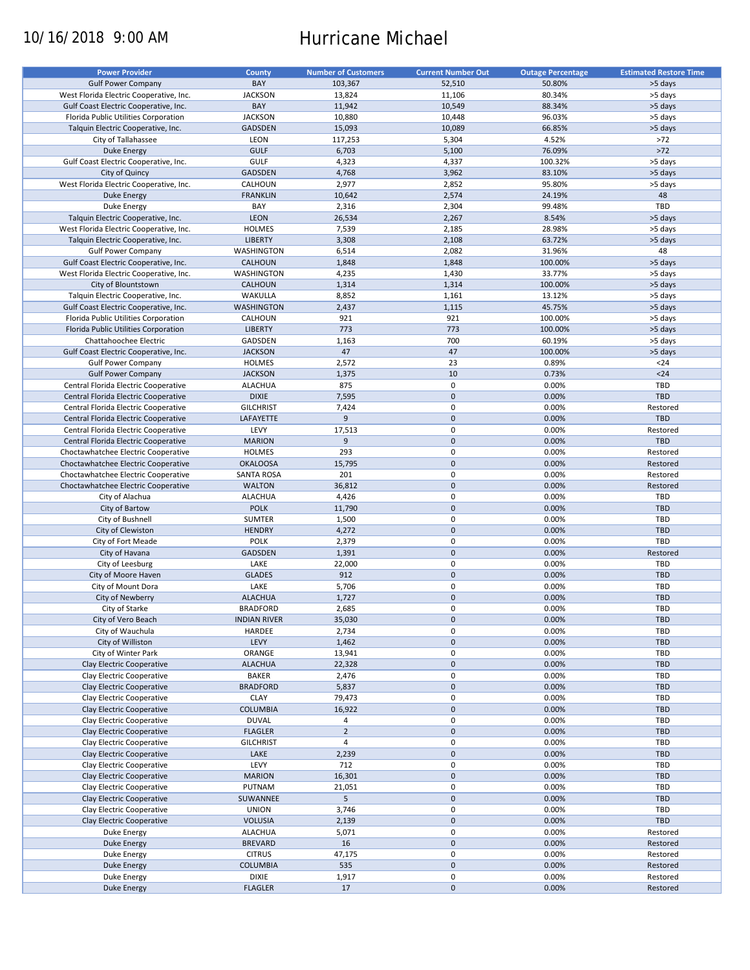# 10/16/2018 9:00 AM Hurricane Michael

| <b>Power Provider</b>                   | <b>County</b>       | <b>Number of Customers</b> | <b>Current Number Out</b> | <b>Outage Percentage</b> | <b>Estimated Restore Time</b> |
|-----------------------------------------|---------------------|----------------------------|---------------------------|--------------------------|-------------------------------|
|                                         |                     |                            |                           |                          |                               |
| <b>Gulf Power Company</b>               | BAY                 | 103,367                    | 52,510                    | 50.80%                   | >5 days                       |
| West Florida Electric Cooperative, Inc. | <b>JACKSON</b>      | 13,824                     | 11,106                    | 80.34%                   | >5 days                       |
| Gulf Coast Electric Cooperative, Inc.   | BAY                 | 11,942                     | 10,549                    | 88.34%                   | >5 days                       |
| Florida Public Utilities Corporation    | <b>JACKSON</b>      | 10,880                     | 10,448                    | 96.03%                   | >5 days                       |
| Talquin Electric Cooperative, Inc.      | GADSDEN             | 15,093                     | 10,089                    | 66.85%                   | >5 days                       |
| City of Tallahassee                     | LEON                | 117,253                    | 5,304                     | 4.52%                    | >72                           |
|                                         |                     |                            |                           |                          |                               |
| <b>Duke Energy</b>                      | <b>GULF</b>         | 6,703                      | 5,100                     | 76.09%                   | $>72$                         |
| Gulf Coast Electric Cooperative, Inc.   | <b>GULF</b>         | 4,323                      | 4,337                     | 100.32%                  | >5 days                       |
| City of Quincy                          | <b>GADSDEN</b>      | 4,768                      | 3,962                     | 83.10%                   | >5 days                       |
| West Florida Electric Cooperative, Inc. | CALHOUN             | 2,977                      | 2,852                     | 95.80%                   | >5 days                       |
| <b>Duke Energy</b>                      | <b>FRANKLIN</b>     | 10,642                     | 2,574                     | 24.19%                   | 48                            |
| Duke Energy                             | BAY                 | 2,316                      | 2,304                     | 99.48%                   | TBD                           |
| Talquin Electric Cooperative, Inc.      | LEON                | 26,534                     | 2,267                     | 8.54%                    | >5 days                       |
|                                         |                     |                            |                           |                          |                               |
| West Florida Electric Cooperative, Inc. | <b>HOLMES</b>       | 7,539                      | 2,185                     | 28.98%                   | >5 days                       |
| Talquin Electric Cooperative, Inc.      | <b>LIBERTY</b>      | 3,308                      | 2,108                     | 63.72%                   | >5 days                       |
| <b>Gulf Power Company</b>               | WASHINGTON          | 6,514                      | 2,082                     | 31.96%                   | 48                            |
| Gulf Coast Electric Cooperative, Inc.   | <b>CALHOUN</b>      | 1,848                      | 1,848                     | 100.00%                  | >5 days                       |
| West Florida Electric Cooperative, Inc. | WASHINGTON          | 4,235                      | 1,430                     | 33.77%                   | >5 days                       |
| City of Blountstown                     | <b>CALHOUN</b>      | 1,314                      | 1,314                     | 100.00%                  | >5 days                       |
|                                         |                     |                            | 1,161                     |                          |                               |
| Talquin Electric Cooperative, Inc.      | WAKULLA             | 8,852                      |                           | 13.12%                   | >5 days                       |
| Gulf Coast Electric Cooperative, Inc.   | <b>WASHINGTON</b>   | 2,437                      | 1,115                     | 45.75%                   | >5 days                       |
| Florida Public Utilities Corporation    | CALHOUN             | 921                        | 921                       | 100.00%                  | >5 days                       |
| Florida Public Utilities Corporation    | <b>LIBERTY</b>      | 773                        | 773                       | 100.00%                  | >5 days                       |
| Chattahoochee Electric                  | <b>GADSDEN</b>      | 1,163                      | 700                       | 60.19%                   | >5 days                       |
| Gulf Coast Electric Cooperative, Inc.   | <b>JACKSON</b>      | 47                         | 47                        | 100.00%                  | >5 days                       |
|                                         | <b>HOLMES</b>       | 2,572                      | 23                        | 0.89%                    | $24$                          |
| <b>Gulf Power Company</b>               |                     |                            |                           |                          |                               |
| <b>Gulf Power Company</b>               | <b>JACKSON</b>      | 1,375                      | 10                        | 0.73%                    | $24$                          |
| Central Florida Electric Cooperative    | <b>ALACHUA</b>      | 875                        | 0                         | 0.00%                    | TBD                           |
| Central Florida Electric Cooperative    | <b>DIXIE</b>        | 7,595                      | $\mathbf 0$               | 0.00%                    | <b>TBD</b>                    |
| Central Florida Electric Cooperative    | <b>GILCHRIST</b>    | 7,424                      | 0                         | 0.00%                    | Restored                      |
| Central Florida Electric Cooperative    | LAFAYETTE           | 9                          | $\mathbf 0$               | 0.00%                    | <b>TBD</b>                    |
| Central Florida Electric Cooperative    | LEVY                | 17,513                     | 0                         | 0.00%                    | Restored                      |
| Central Florida Electric Cooperative    | <b>MARION</b>       | 9                          | $\mathbf 0$               | 0.00%                    | <b>TBD</b>                    |
|                                         |                     |                            |                           |                          |                               |
| Choctawhatchee Electric Cooperative     | <b>HOLMES</b>       | 293                        | 0                         | 0.00%                    | Restored                      |
| Choctawhatchee Electric Cooperative     | <b>OKALOOSA</b>     | 15,795                     | $\mathbf 0$               | 0.00%                    | Restored                      |
| Choctawhatchee Electric Cooperative     | <b>SANTA ROSA</b>   | 201                        | 0                         | 0.00%                    | Restored                      |
| Choctawhatchee Electric Cooperative     | <b>WALTON</b>       | 36,812                     | $\mathbf 0$               | 0.00%                    | Restored                      |
| City of Alachua                         | <b>ALACHUA</b>      | 4,426                      | $\pmb{0}$                 | 0.00%                    | TBD                           |
| City of Bartow                          | <b>POLK</b>         | 11,790                     | $\mathbf 0$               | 0.00%                    | <b>TBD</b>                    |
| City of Bushnell                        | SUMTER              | 1,500                      | 0                         | 0.00%                    | TBD                           |
|                                         |                     |                            |                           |                          |                               |
| City of Clewiston                       | <b>HENDRY</b>       | 4,272                      | $\mathbf 0$               | 0.00%                    | TBD                           |
| City of Fort Meade                      | <b>POLK</b>         | 2,379                      | $\pmb{0}$                 | 0.00%                    | TBD                           |
| City of Havana                          | <b>GADSDEN</b>      | 1,391                      | $\mathbf 0$               | 0.00%                    | Restored                      |
| City of Leesburg                        | LAKE                | 22,000                     | 0                         | 0.00%                    | TBD                           |
| City of Moore Haven                     | <b>GLADES</b>       | 912                        | $\mathbf 0$               | 0.00%                    | <b>TBD</b>                    |
| City of Mount Dora                      | LAKE                | 5,706                      | 0                         | 0.00%                    | <b>TBD</b>                    |
| City of Newberry                        | <b>ALACHUA</b>      | 1,727                      | $\mathbf 0$               | 0.00%                    | <b>TBD</b>                    |
|                                         |                     |                            |                           |                          |                               |
| City of Starke                          | <b>BRADFORD</b>     | 2,685                      | $\mathbf 0$               | 0.00%                    | TBD                           |
| City of Vero Beach                      | <b>INDIAN RIVER</b> | 35,030                     | $\pmb{0}$                 | 0.00%                    | TBD                           |
| City of Wauchula                        | HARDEE              | 2,734                      | 0                         | 0.00%                    | TBD                           |
| City of Williston                       | LEVY                | 1,462                      | $\pmb{0}$                 | 0.00%                    | <b>TBD</b>                    |
| City of Winter Park                     | ORANGE              | 13,941                     | 0                         | 0.00%                    | TBD                           |
| Clay Electric Cooperative               | <b>ALACHUA</b>      | 22,328                     | $\mathsf{O}\xspace$       | 0.00%                    | TBD                           |
| Clay Electric Cooperative               | BAKER               | 2,476                      | 0                         | 0.00%                    | TBD                           |
|                                         |                     |                            |                           |                          |                               |
| Clay Electric Cooperative               | <b>BRADFORD</b>     | 5,837                      | $\mathsf{O}\xspace$       | 0.00%                    | TBD                           |
| Clay Electric Cooperative               | <b>CLAY</b>         | 79,473                     | 0                         | 0.00%                    | TBD                           |
| Clay Electric Cooperative               | <b>COLUMBIA</b>     | 16,922                     | $\mathsf{O}\xspace$       | 0.00%                    | <b>TBD</b>                    |
| Clay Electric Cooperative               | <b>DUVAL</b>        | 4                          | 0                         | 0.00%                    | TBD                           |
| Clay Electric Cooperative               | <b>FLAGLER</b>      | $\overline{2}$             | $\pmb{0}$                 | 0.00%                    | <b>TBD</b>                    |
| Clay Electric Cooperative               | <b>GILCHRIST</b>    | $\overline{4}$             | 0                         | 0.00%                    | TBD                           |
| Clay Electric Cooperative               | LAKE                | 2,239                      | $\pmb{0}$                 | 0.00%                    | <b>TBD</b>                    |
|                                         |                     |                            |                           |                          |                               |
| Clay Electric Cooperative               | LEVY                | 712                        | 0                         | 0.00%                    | TBD                           |
| Clay Electric Cooperative               | <b>MARION</b>       | 16,301                     | $\pmb{0}$                 | 0.00%                    | <b>TBD</b>                    |
| Clay Electric Cooperative               | PUTNAM              | 21,051                     | 0                         | 0.00%                    | TBD                           |
| Clay Electric Cooperative               | SUWANNEE            | 5                          | $\pmb{0}$                 | 0.00%                    | <b>TBD</b>                    |
| Clay Electric Cooperative               | <b>UNION</b>        | 3,746                      | $\pmb{0}$                 | 0.00%                    | TBD                           |
| Clay Electric Cooperative               | <b>VOLUSIA</b>      | 2,139                      | $\pmb{0}$                 | 0.00%                    | <b>TBD</b>                    |
| Duke Energy                             | <b>ALACHUA</b>      | 5,071                      | 0                         | 0.00%                    | Restored                      |
|                                         |                     |                            |                           |                          |                               |
| <b>Duke Energy</b>                      | <b>BREVARD</b>      | 16                         | $\mathsf{O}\xspace$       | 0.00%                    | Restored                      |
| Duke Energy                             | <b>CITRUS</b>       | 47,175                     | 0                         | 0.00%                    | Restored                      |
| <b>Duke Energy</b>                      | <b>COLUMBIA</b>     | 535                        | $\pmb{0}$                 | 0.00%                    | Restored                      |
| Duke Energy                             | <b>DIXIE</b>        | 1,917                      | 0                         | 0.00%                    | Restored                      |
| <b>Duke Energy</b>                      | <b>FLAGLER</b>      | 17                         | $\pmb{0}$                 | 0.00%                    | Restored                      |
|                                         |                     |                            |                           |                          |                               |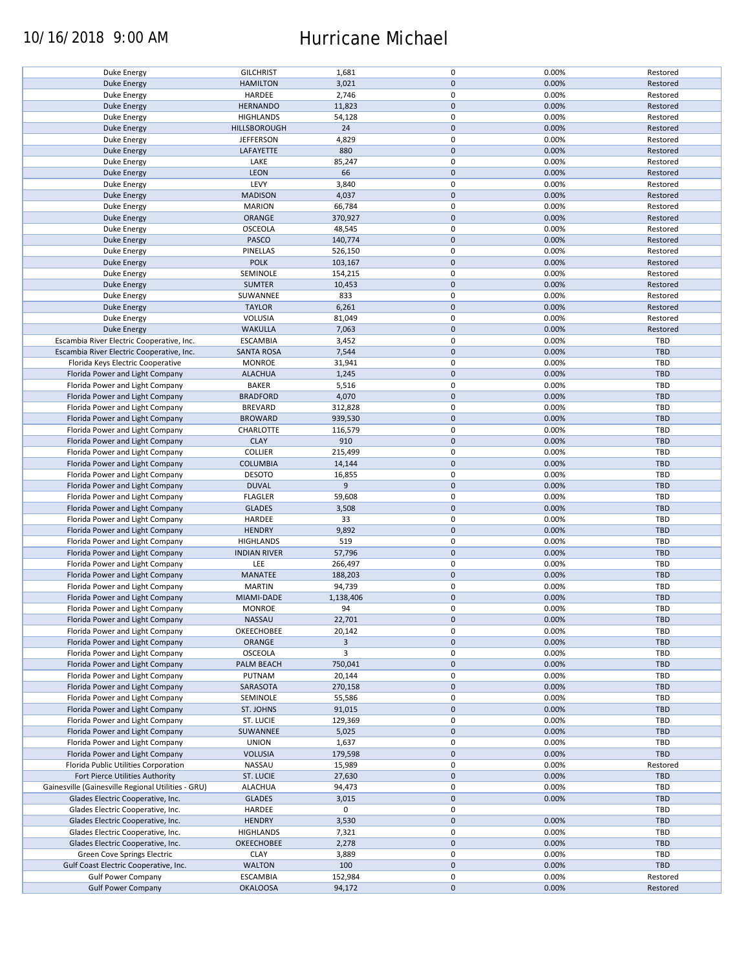## 10/16/2018 9:00 AM Hurricane Michael

| Duke Energy                                        | <b>GILCHRIST</b>    | 1,681                   | 0                   | 0.00% | Restored   |
|----------------------------------------------------|---------------------|-------------------------|---------------------|-------|------------|
| <b>Duke Energy</b>                                 | <b>HAMILTON</b>     | 3,021                   | $\mathbf 0$         | 0.00% | Restored   |
| Duke Energy                                        | HARDEE              | 2,746                   | 0                   | 0.00% | Restored   |
|                                                    |                     |                         |                     |       |            |
| <b>Duke Energy</b>                                 | <b>HERNANDO</b>     | 11,823                  | $\mathbf 0$         | 0.00% | Restored   |
| Duke Energy                                        | <b>HIGHLANDS</b>    | 54,128                  | 0                   | 0.00% | Restored   |
| <b>Duke Energy</b>                                 | <b>HILLSBOROUGH</b> | 24                      | $\mathbf 0$         | 0.00% | Restored   |
|                                                    |                     |                         |                     |       |            |
| Duke Energy                                        | <b>JEFFERSON</b>    | 4,829                   | 0                   | 0.00% | Restored   |
| <b>Duke Energy</b>                                 | LAFAYETTE           | 880                     | $\mathbf 0$         | 0.00% | Restored   |
| Duke Energy                                        | LAKE                | 85,247                  | $\pmb{0}$           | 0.00% | Restored   |
|                                                    |                     |                         |                     |       |            |
| Duke Energy                                        | LEON                | 66                      | $\mathbf 0$         | 0.00% | Restored   |
| Duke Energy                                        | LEVY                | 3,840                   | 0                   | 0.00% | Restored   |
| <b>Duke Energy</b>                                 | <b>MADISON</b>      | 4,037                   | $\mathbf 0$         | 0.00% | Restored   |
|                                                    |                     |                         |                     |       |            |
| Duke Energy                                        | <b>MARION</b>       | 66,784                  | $\pmb{0}$           | 0.00% | Restored   |
| <b>Duke Energy</b>                                 | ORANGE              | 370,927                 | $\mathbf 0$         | 0.00% | Restored   |
|                                                    | <b>OSCEOLA</b>      |                         | $\pmb{0}$           | 0.00% | Restored   |
| Duke Energy                                        |                     | 48,545                  |                     |       |            |
| <b>Duke Energy</b>                                 | PASCO               | 140,774                 | $\pmb{0}$           | 0.00% | Restored   |
| Duke Energy                                        | PINELLAS            | 526,150                 | 0                   | 0.00% | Restored   |
|                                                    |                     |                         | $\pmb{0}$           |       |            |
| <b>Duke Energy</b>                                 | <b>POLK</b>         | 103,167                 |                     | 0.00% | Restored   |
| <b>Duke Energy</b>                                 | SEMINOLE            | 154,215                 | $\pmb{0}$           | 0.00% | Restored   |
| <b>Duke Energy</b>                                 | <b>SUMTER</b>       | 10,453                  | $\pmb{0}$           | 0.00% | Restored   |
|                                                    |                     |                         |                     |       |            |
| <b>Duke Energy</b>                                 | SUWANNEE            | 833                     | $\pmb{0}$           | 0.00% | Restored   |
| <b>Duke Energy</b>                                 | <b>TAYLOR</b>       | 6,261                   | $\pmb{0}$           | 0.00% | Restored   |
| Duke Energy                                        | VOLUSIA             | 81,049                  | 0                   | 0.00% | Restored   |
|                                                    |                     |                         |                     |       |            |
| <b>Duke Energy</b>                                 | <b>WAKULLA</b>      | 7,063                   | $\pmb{0}$           | 0.00% | Restored   |
| Escambia River Electric Cooperative, Inc.          | <b>ESCAMBIA</b>     | 3,452                   | $\pmb{0}$           | 0.00% | TBD        |
| Escambia River Electric Cooperative, Inc.          | <b>SANTA ROSA</b>   |                         | $\pmb{0}$           | 0.00% | <b>TBD</b> |
|                                                    |                     | 7,544                   |                     |       |            |
| Florida Keys Electric Cooperative                  | <b>MONROE</b>       | 31,941                  | $\pmb{0}$           | 0.00% | TBD        |
| Florida Power and Light Company                    | <b>ALACHUA</b>      | 1,245                   | $\pmb{0}$           | 0.00% | <b>TBD</b> |
|                                                    |                     |                         |                     |       |            |
| Florida Power and Light Company                    | <b>BAKER</b>        | 5,516                   | $\pmb{0}$           | 0.00% | TBD        |
| Florida Power and Light Company                    | <b>BRADFORD</b>     | 4,070                   | $\pmb{0}$           | 0.00% | <b>TBD</b> |
| Florida Power and Light Company                    | <b>BREVARD</b>      | 312,828                 | $\pmb{0}$           | 0.00% | <b>TBD</b> |
|                                                    |                     |                         |                     |       |            |
| Florida Power and Light Company                    | <b>BROWARD</b>      | 939,530                 | $\pmb{0}$           | 0.00% | <b>TBD</b> |
| Florida Power and Light Company                    | CHARLOTTE           | 116,579                 | 0                   | 0.00% | TBD        |
| Florida Power and Light Company                    | <b>CLAY</b>         | 910                     | $\mathbf 0$         | 0.00% | <b>TBD</b> |
|                                                    |                     |                         |                     |       |            |
| Florida Power and Light Company                    | <b>COLLIER</b>      | 215,499                 | 0                   | 0.00% | TBD        |
| Florida Power and Light Company                    | <b>COLUMBIA</b>     | 14,144                  | $\pmb{0}$           | 0.00% | <b>TBD</b> |
|                                                    |                     |                         |                     |       | TBD        |
| Florida Power and Light Company                    | <b>DESOTO</b>       | 16,855                  | 0                   | 0.00% |            |
| Florida Power and Light Company                    | <b>DUVAL</b>        | 9                       | $\pmb{0}$           | 0.00% | <b>TBD</b> |
| Florida Power and Light Company                    | <b>FLAGLER</b>      | 59,608                  | $\pmb{0}$           | 0.00% | <b>TBD</b> |
|                                                    |                     |                         |                     |       |            |
| Florida Power and Light Company                    | <b>GLADES</b>       | 3,508                   | $\mathbf 0$         | 0.00% | <b>TBD</b> |
| Florida Power and Light Company                    | HARDEE              | 33                      | $\pmb{0}$           | 0.00% | TBD        |
| Florida Power and Light Company                    | <b>HENDRY</b>       | 9,892                   | $\mathbf 0$         | 0.00% | <b>TBD</b> |
|                                                    |                     |                         |                     |       |            |
| Florida Power and Light Company                    | <b>HIGHLANDS</b>    | 519                     | 0                   | 0.00% | TBD        |
| Florida Power and Light Company                    | <b>INDIAN RIVER</b> | 57,796                  | $\mathbf 0$         | 0.00% | <b>TBD</b> |
|                                                    |                     |                         | 0                   |       |            |
| Florida Power and Light Company                    | LEE                 | 266,497                 |                     | 0.00% | <b>TBD</b> |
| Florida Power and Light Company                    | MANATEE             | 188,203                 | $\mathbf 0$         | 0.00% | <b>TBD</b> |
| Florida Power and Light Company                    | <b>MARTIN</b>       | 94,739                  | 0                   | 0.00% | <b>TBD</b> |
|                                                    |                     |                         |                     |       |            |
| Florida Power and Light Company                    | MIAMI-DADE          | 1,138,406               | $\mathbf 0$         | 0.00% | <b>TBD</b> |
| Florida Power and Light Company                    | <b>MONROE</b>       | 94                      | $\mathbf 0$         | 0.00% | TBD        |
| Florida Power and Light Company                    | NASSAU              | 22,701                  | $\pmb{0}$           | 0.00% | <b>TBD</b> |
|                                                    |                     |                         |                     |       |            |
| Florida Power and Light Company                    | OKEECHOBEE          | 20,142                  | $\pmb{0}$           | 0.00% | TBD        |
| Florida Power and Light Company                    | ORANGE              | $\overline{\mathbf{3}}$ | $\mathbf 0$         | 0.00% | <b>TBD</b> |
| Florida Power and Light Company                    | OSCEOLA             | 3                       | 0                   | 0.00% | TBD        |
|                                                    |                     |                         |                     |       |            |
| Florida Power and Light Company                    | PALM BEACH          | 750,041                 | $\mathbf 0$         | 0.00% | <b>TBD</b> |
| Florida Power and Light Company                    | PUTNAM              | 20,144                  | 0                   | 0.00% | TBD        |
| Florida Power and Light Company                    | SARASOTA            | 270,158                 | $\mathbf 0$         | 0.00% | <b>TBD</b> |
|                                                    |                     |                         |                     |       |            |
| Florida Power and Light Company                    | SEMINOLE            | 55,586                  | 0                   | 0.00% | TBD        |
| Florida Power and Light Company                    | ST. JOHNS           | 91,015                  | $\mathbf 0$         | 0.00% | <b>TBD</b> |
|                                                    |                     |                         |                     |       |            |
| Florida Power and Light Company                    | ST. LUCIE           | 129,369                 | 0                   | 0.00% | TBD        |
| Florida Power and Light Company                    | SUWANNEE            | 5,025                   | $\pmb{0}$           | 0.00% | <b>TBD</b> |
| Florida Power and Light Company                    | <b>UNION</b>        | 1,637                   | 0                   | 0.00% | TBD        |
|                                                    |                     |                         |                     |       |            |
| Florida Power and Light Company                    | <b>VOLUSIA</b>      | 179,598                 | $\pmb{0}$           | 0.00% | <b>TBD</b> |
| Florida Public Utilities Corporation               | NASSAU              | 15,989                  | 0                   | 0.00% | Restored   |
| Fort Pierce Utilities Authority                    | <b>ST. LUCIE</b>    | 27,630                  | $\mathbf 0$         | 0.00% | <b>TBD</b> |
|                                                    |                     |                         |                     |       |            |
| Gainesville (Gainesville Regional Utilities - GRU) | <b>ALACHUA</b>      | 94,473                  | 0                   | 0.00% | TBD        |
| Glades Electric Cooperative, Inc.                  | <b>GLADES</b>       | 3,015                   | $\mathbf 0$         | 0.00% | <b>TBD</b> |
|                                                    |                     |                         |                     |       |            |
| Glades Electric Cooperative, Inc.                  | HARDEE              | 0                       | 0                   |       | TBD        |
| Glades Electric Cooperative, Inc.                  | <b>HENDRY</b>       | 3,530                   | $\pmb{0}$           | 0.00% | TBD        |
| Glades Electric Cooperative, Inc.                  | <b>HIGHLANDS</b>    | 7,321                   | $\pmb{0}$           | 0.00% | TBD        |
|                                                    |                     |                         |                     |       |            |
| Glades Electric Cooperative, Inc.                  | <b>OKEECHOBEE</b>   | 2,278                   | $\pmb{0}$           | 0.00% | <b>TBD</b> |
| Green Cove Springs Electric                        | <b>CLAY</b>         | 3,889                   | $\pmb{0}$           | 0.00% | TBD        |
| Gulf Coast Electric Cooperative, Inc.              | <b>WALTON</b>       | 100                     | $\pmb{0}$           | 0.00% | <b>TBD</b> |
|                                                    |                     |                         |                     |       |            |
| <b>Gulf Power Company</b>                          | <b>ESCAMBIA</b>     | 152,984                 | 0                   | 0.00% | Restored   |
| <b>Gulf Power Company</b>                          | <b>OKALOOSA</b>     | 94,172                  | $\mathsf{O}\xspace$ | 0.00% | Restored   |
|                                                    |                     |                         |                     |       |            |